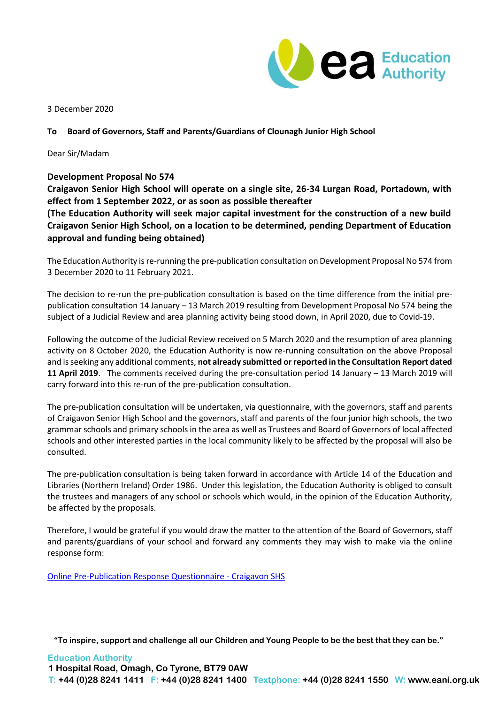

3 December 2020

## **To Board of Governors, Staff and Parents/Guardians of Clounagh Junior High School**

Dear Sir/Madam

## **Development Proposal No 574**

**Craigavon Senior High School will operate on a single site, 26-34 Lurgan Road, Portadown, with effect from 1 September 2022, or as soon as possible thereafter**

**(The Education Authority will seek major capital investment for the construction of a new build Craigavon Senior High School, on a location to be determined, pending Department of Education approval and funding being obtained)**

The Education Authority is re-running the pre-publication consultation on Development Proposal No 574 from 3 December 2020 to 11 February 2021.

The decision to re-run the pre-publication consultation is based on the time difference from the initial prepublication consultation 14 January – 13 March 2019 resulting from Development Proposal No 574 being the subject of a Judicial Review and area planning activity being stood down, in April 2020, due to Covid-19.

Following the outcome of the Judicial Review received on 5 March 2020 and the resumption of area planning activity on 8 October 2020, the Education Authority is now re-running consultation on the above Proposal and is seeking any additional comments, **not already submitted or reported in the Consultation Report dated 11 April 2019**. The comments received during the pre-consultation period 14 January – 13 March 2019 will carry forward into this re-run of the pre-publication consultation.

The pre-publication consultation will be undertaken, via questionnaire, with the governors, staff and parents of Craigavon Senior High School and the governors, staff and parents of the four junior high schools, the two grammar schools and primary schools in the area as well as Trustees and Board of Governors of local affected schools and other interested parties in the local community likely to be affected by the proposal will also be consulted.

The pre-publication consultation is being taken forward in accordance with Article 14 of the Education and Libraries (Northern Ireland) Order 1986. Under this legislation, the Education Authority is obliged to consult the trustees and managers of any school or schools which would, in the opinion of the Education Authority, be affected by the proposals.

Therefore, I would be grateful if you would draw the matter to the attention of the Board of Governors, staff and parents/guardians of your school and forward any comments they may wish to make via the online response form:

[Online Pre-Publication Response Questionnaire -](https://forms.office.com/Pages/ResponsePage.aspx?id=llBpSmv1qkKriLaXlL-gxPcxo9dRvxFCohX5_HBKSKRUQlYyUjVFSkYwQVJIQjYySU1TQ0ROUUo0MC4u) Craigavon SHS

**"To inspire, support and challenge all our Children and Young People to be the best that they can be."**